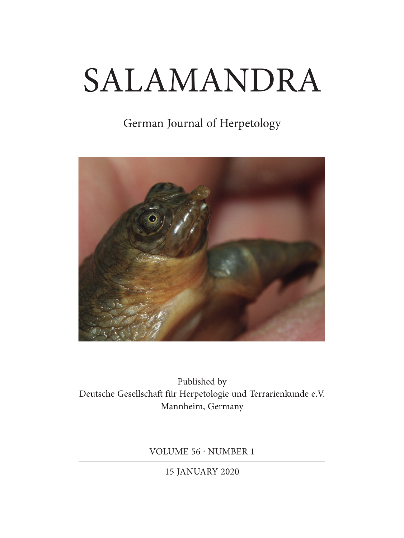## SALAMANDRA

## German Journal of Herpetology



Published by Deutsche Gesellschaft für Herpetologie und Terrarienkunde e.V. Mannheim, Germany

VOLUME 56 · NUMBER 1

15 JANUARY 2020